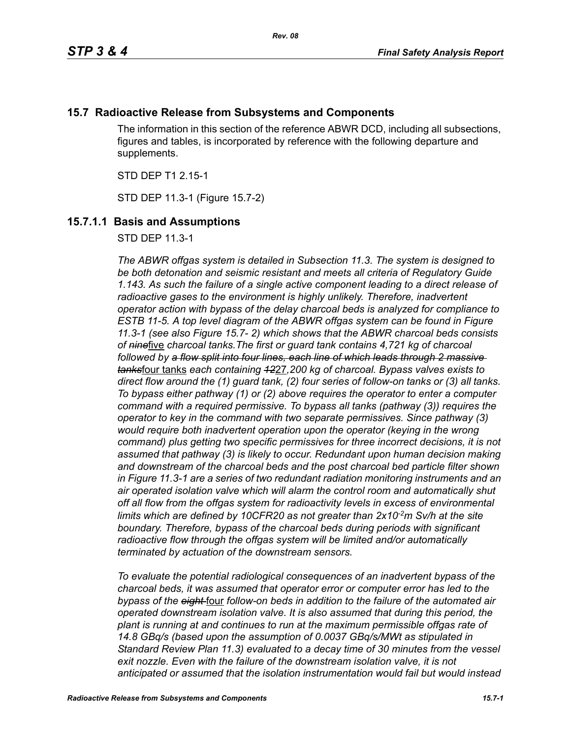# **15.7 Radioactive Release from Subsystems and Components**

The information in this section of the reference ABWR DCD, including all subsections, figures and tables, is incorporated by reference with the following departure and supplements.

STD DEP T1 2.15-1

STD DEP 11.3-1 (Figure 15.7-2)

# **15.7.1.1 Basis and Assumptions**

STD DEP 11.3-1

*The ABWR offgas system is detailed in Subsection 11.3. The system is designed to be both detonation and seismic resistant and meets all criteria of Regulatory Guide 1.143. As such the failure of a single active component leading to a direct release of radioactive gases to the environment is highly unlikely. Therefore, inadvertent operator action with bypass of the delay charcoal beds is analyzed for compliance to ESTB 11-5. A top level diagram of the ABWR offgas system can be found in Figure 11.3-1 (see also Figure 15.7- 2) which shows that the ABWR charcoal beds consists of nine*five *charcoal tanks.The first or guard tank contains 4,721 kg of charcoal followed by a flow split into four lines, each line of which leads through 2 massive tanks*four tanks *each containing 12*27*,200 kg of charcoal. Bypass valves exists to direct flow around the (1) guard tank, (2) four series of follow-on tanks or (3) all tanks. To bypass either pathway (1) or (2) above requires the operator to enter a computer command with a required permissive. To bypass all tanks (pathway (3)) requires the operator to key in the command with two separate permissives. Since pathway (3) would require both inadvertent operation upon the operator (keying in the wrong command) plus getting two specific permissives for three incorrect decisions, it is not assumed that pathway (3) is likely to occur. Redundant upon human decision making and downstream of the charcoal beds and the post charcoal bed particle filter shown in Figure 11.3-1 are a series of two redundant radiation monitoring instruments and an air operated isolation valve which will alarm the control room and automatically shut off all flow from the offgas system for radioactivity levels in excess of environmental*  limits which are defined by 10CFR20 as not greater than 2x10<sup>-2</sup>m Sv/h at the site *boundary. Therefore, bypass of the charcoal beds during periods with significant radioactive flow through the offgas system will be limited and/or automatically terminated by actuation of the downstream sensors.* 

*To evaluate the potential radiological consequences of an inadvertent bypass of the charcoal beds, it was assumed that operator error or computer error has led to the bypass of the eight* four *follow-on beds in addition to the failure of the automated air operated downstream isolation valve. It is also assumed that during this period, the plant is running at and continues to run at the maximum permissible offgas rate of 14.8 GBq/s (based upon the assumption of 0.0037 GBq/s/MWt as stipulated in Standard Review Plan 11.3) evaluated to a decay time of 30 minutes from the vessel*  exit nozzle. Even with the failure of the downstream isolation valve, it is not *anticipated or assumed that the isolation instrumentation would fail but would instead*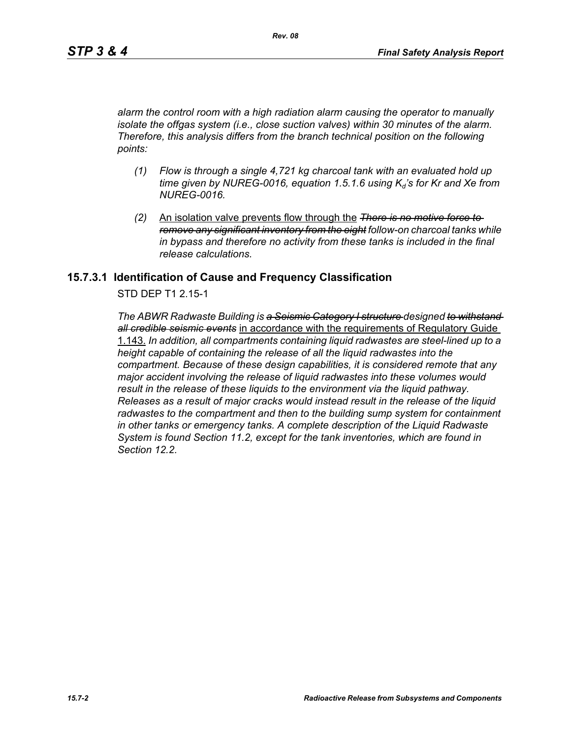*alarm the control room with a high radiation alarm causing the operator to manually isolate the offgas system (i.e., close suction valves) within 30 minutes of the alarm. Therefore, this analysis differs from the branch technical position on the following points:*

- *(1) Flow is through a single 4,721 kg charcoal tank with an evaluated hold up time given by NUREG-0016, equation 1.5.1.6 using*  $K_d$ *'s for Kr and Xe from NUREG-0016.*
- *(2)* An isolation valve prevents flow through the *There is no motive force to remove any significant inventory from the eight follow-on charcoal tanks while in bypass and therefore no activity from these tanks is included in the final release calculations.*

### **15.7.3.1 Identification of Cause and Frequency Classification**

STD DEP T1 2.15-1

*The ABWR Radwaste Building is a Seismic Category I structure designed to withstand all credible seismic events* in accordance with the requirements of Regulatory Guide 1.143. *In addition, all compartments containing liquid radwastes are steel-lined up to a height capable of containing the release of all the liquid radwastes into the compartment. Because of these design capabilities, it is considered remote that any major accident involving the release of liquid radwastes into these volumes would result in the release of these liquids to the environment via the liquid pathway. Releases as a result of major cracks would instead result in the release of the liquid radwastes to the compartment and then to the building sump system for containment in other tanks or emergency tanks. A complete description of the Liquid Radwaste System is found Section 11.2, except for the tank inventories, which are found in Section 12.2.*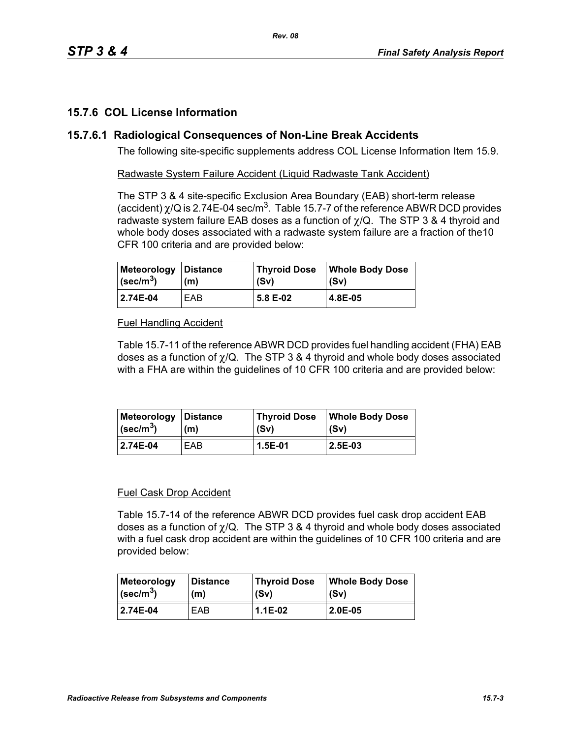# **15.7.6 COL License Information**

### **15.7.6.1 Radiological Consequences of Non-Line Break Accidents**

The following site-specific supplements address COL License Information Item 15.9.

Radwaste System Failure Accident (Liquid Radwaste Tank Accident)

The STP 3 & 4 site-specific Exclusion Area Boundary (EAB) short-term release (accident)  $\chi$ /Q is 2.74E-04 sec/m<sup>3</sup>. Table 15.7-7 of the reference ABWR DCD provides radwaste system failure EAB doses as a function of  $\chi$ /Q. The STP 3 & 4 thyroid and whole body doses associated with a radwaste system failure are a fraction of the10 CFR 100 criteria and are provided below:

| Meteorology Distance          | (m) | <b>Thyroid Dose</b> | <b>Whole Body Dose</b> |
|-------------------------------|-----|---------------------|------------------------|
| $\vert$ (sec/m <sup>3</sup> ) |     | (Sv)                | (Sv)                   |
| 2.74E-04                      | EAB | 5.8 E-02            | 4.8E-05                |

### Fuel Handling Accident

Table 15.7-11 of the reference ABWR DCD provides fuel handling accident (FHA) EAB doses as a function of  $\chi$ /Q. The STP 3 & 4 thyroid and whole body doses associated with a FHA are within the guidelines of 10 CFR 100 criteria and are provided below:

| Meteorology             | ∣Distance | Thyroid Dose | <b>Whole Body Dose</b> |
|-------------------------|-----------|--------------|------------------------|
| $\sqrt{\text{sec/m}^3}$ | (m)       | (Sv)         | (Sv)                   |
| 2.74E-04                | EAB       | 1.5E-01      | 2.5E-03                |

#### Fuel Cask Drop Accident

Table 15.7-14 of the reference ABWR DCD provides fuel cask drop accident EAB doses as a function of  $\chi$ /Q. The STP 3 & 4 thyroid and whole body doses associated with a fuel cask drop accident are within the quidelines of 10 CFR 100 criteria and are provided below:

| <b>Meteorology</b>        | <b>Distance</b> | Thyroid Dose | Whole Body Dose |
|---------------------------|-----------------|--------------|-----------------|
| $ $ (sec/m <sup>3</sup> ) | (m)             | (Sv)         | (Sv)            |
| 2.74E-04                  | EAB             | $1.1E-02$    | 2.0E-05         |